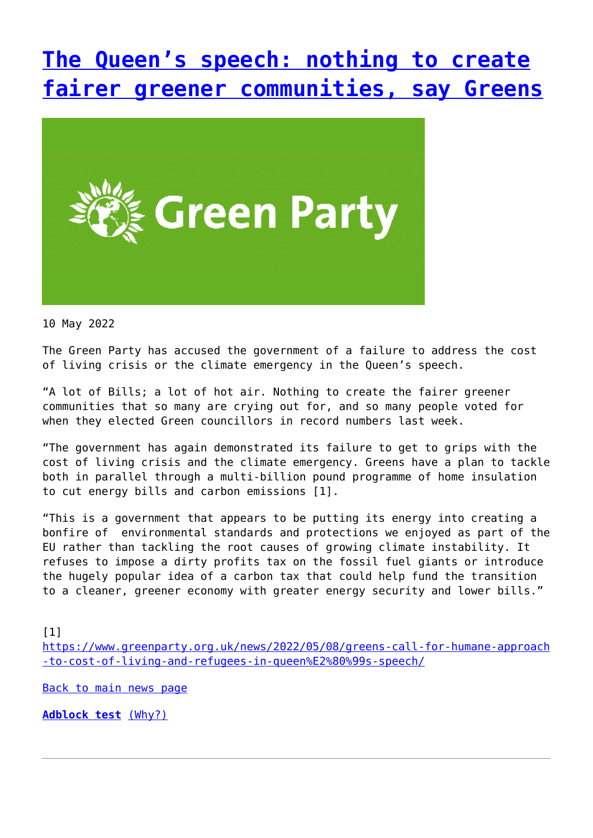## **[The Queen's speech: nothing to create](http://www.government-world.com/the-queens-speech-nothing-to-create-fairer-greener-communities-say-greens/) [fairer greener communities, say Greens](http://www.government-world.com/the-queens-speech-nothing-to-create-fairer-greener-communities-say-greens/)**



10 May 2022

The Green Party has accused the government of a failure to address the cost of living crisis or the climate emergency in the Queen's speech.

"A lot of Bills; a lot of hot air. Nothing to create the fairer greener communities that so many are crying out for, and so many people voted for when they elected Green councillors in record numbers last week.

"The government has again demonstrated its failure to get to grips with the cost of living crisis and the climate emergency. Greens have a plan to tackle both in parallel through a multi-billion pound programme of home insulation to cut energy bills and carbon emissions [1].

"This is a government that appears to be putting its energy into creating a bonfire of environmental standards and protections we enjoyed as part of the EU rather than tackling the root causes of growing climate instability. It refuses to impose a dirty profits tax on the fossil fuel giants or introduce the hugely popular idea of a carbon tax that could help fund the transition to a cleaner, greener economy with greater energy security and lower bills."

[1]

[https://www.greenparty.org.uk/news/2022/05/08/greens-call-for-humane-approach](https://www.greenparty.org.uk/news/2022/05/08/greens-call-for-humane-approach-to-cost-of-living-and-refugees-in-queen%E2%80%99s-speech/) [-to-cost-of-living-and-refugees-in-queen%E2%80%99s-speech/](https://www.greenparty.org.uk/news/2022/05/08/greens-call-for-humane-approach-to-cost-of-living-and-refugees-in-queen%E2%80%99s-speech/)

[Back to main news page](https://www.greenparty.org.uk/news/)

**[Adblock test](https://blockads.fivefilters.org/)** [\(Why?\)](https://blockads.fivefilters.org/acceptable.html)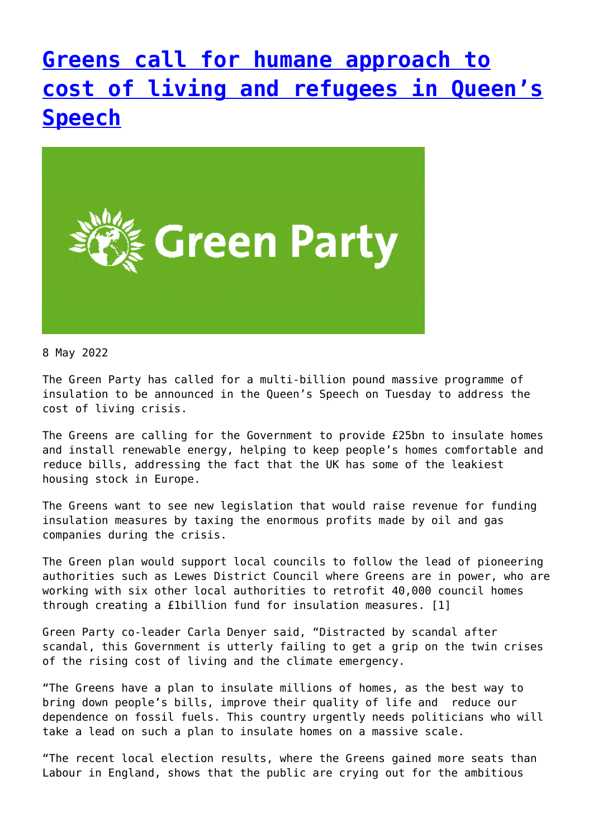### **[Greens call for humane approach to](http://www.government-world.com/greens-call-for-humane-approach-to-cost-of-living-and-refugees-in-queens-speech/) [cost of living and refugees in Queen's](http://www.government-world.com/greens-call-for-humane-approach-to-cost-of-living-and-refugees-in-queens-speech/) [Speech](http://www.government-world.com/greens-call-for-humane-approach-to-cost-of-living-and-refugees-in-queens-speech/)**



8 May 2022

The Green Party has called for a multi-billion pound massive programme of insulation to be announced in the Queen's Speech on Tuesday to address the cost of living crisis.

The Greens are calling for the Government to provide £25bn to insulate homes and install renewable energy, helping to keep people's homes comfortable and reduce bills, addressing the fact that the UK has some of the leakiest housing stock in Europe.

The Greens want to see new legislation that would raise revenue for funding insulation measures by taxing the enormous profits made by oil and gas companies during the crisis.

The Green plan would support local councils to follow the lead of pioneering authorities such as Lewes District Council where Greens are in power, who are working with six other local authorities to retrofit 40,000 council homes through creating a £1billion fund for insulation measures. [1]

Green Party co-leader Carla Denyer said, "Distracted by scandal after scandal, this Government is utterly failing to get a grip on the twin crises of the rising cost of living and the climate emergency.

"The Greens have a plan to insulate millions of homes, as the best way to bring down people's bills, improve their quality of life and reduce our dependence on fossil fuels. This country urgently needs politicians who will take a lead on such a plan to insulate homes on a massive scale.

"The recent local election results, where the Greens gained more seats than Labour in England, shows that the public are crying out for the ambitious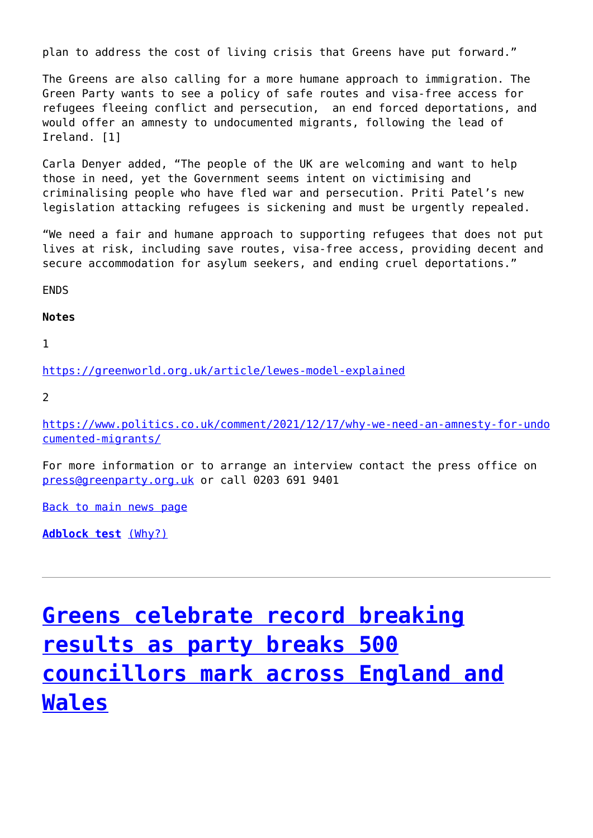plan to address the cost of living crisis that Greens have put forward."

The Greens are also calling for a more humane approach to immigration. The Green Party wants to see a policy of safe routes and visa-free access for refugees fleeing conflict and persecution, an end forced deportations, and would offer an amnesty to undocumented migrants, following the lead of Ireland. [1]

Carla Denyer added, "The people of the UK are welcoming and want to help those in need, yet the Government seems intent on victimising and criminalising people who have fled war and persecution. Priti Patel's new legislation attacking refugees is sickening and must be urgently repealed.

"We need a fair and humane approach to supporting refugees that does not put lives at risk, including save routes, visa-free access, providing decent and secure accommodation for asylum seekers, and ending cruel deportations."

**FNDS** 

**Notes**

1

<https://greenworld.org.uk/article/lewes-model-explained>

 $\overline{2}$ 

[https://www.politics.co.uk/comment/2021/12/17/why-we-need-an-amnesty-for-undo](https://www.politics.co.uk/comment/2021/12/17/why-we-need-an-amnesty-for-undocumented-migrants/) [cumented-migrants/](https://www.politics.co.uk/comment/2021/12/17/why-we-need-an-amnesty-for-undocumented-migrants/)

For more information or to arrange an interview contact the press office on [press@greenparty.org.uk](mailto:press@greenparty.org.uk) or call 0203 691 9401

[Back to main news page](https://www.greenparty.org.uk/news/)

**[Adblock test](https://blockads.fivefilters.org/)** [\(Why?\)](https://blockads.fivefilters.org/acceptable.html)

# **[Greens celebrate record breaking](http://www.government-world.com/greens-celebrate-record-breaking-results-as-party-breaks-500-councillors-mark-across-england-and-wales/) [results as party breaks 500](http://www.government-world.com/greens-celebrate-record-breaking-results-as-party-breaks-500-councillors-mark-across-england-and-wales/) [councillors mark across England and](http://www.government-world.com/greens-celebrate-record-breaking-results-as-party-breaks-500-councillors-mark-across-england-and-wales/) [Wales](http://www.government-world.com/greens-celebrate-record-breaking-results-as-party-breaks-500-councillors-mark-across-england-and-wales/)**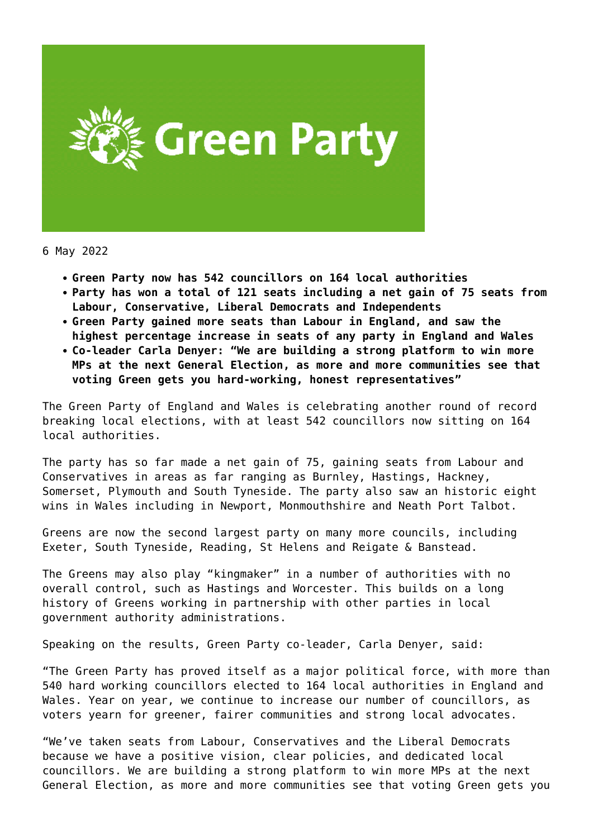

6 May 2022

- **Green Party now has 542 councillors on 164 local authorities**
- **Party has won a total of 121 seats including a net gain of 75 seats from Labour, Conservative, Liberal Democrats and Independents**
- **Green Party gained more seats than Labour in England, and saw the highest percentage increase in seats of any party in England and Wales**
- **Co-leader Carla Denyer: "We are building a strong platform to win more MPs at the next General Election, as more and more communities see that voting Green gets you hard-working, honest representatives"**

The Green Party of England and Wales is celebrating another round of record breaking local elections, with at least 542 councillors now sitting on 164 local authorities.

The party has so far made a net gain of 75, gaining seats from Labour and Conservatives in areas as far ranging as Burnley, Hastings, Hackney, Somerset, Plymouth and South Tyneside. The party also saw an historic eight wins in Wales including in Newport, Monmouthshire and Neath Port Talbot.

Greens are now the second largest party on many more councils, including Exeter, South Tyneside, Reading, St Helens and Reigate & Banstead.

The Greens may also play "kingmaker" in a number of authorities with no overall control, such as Hastings and Worcester. This builds on a long history of Greens working in partnership with other parties in local government authority administrations.

Speaking on the results, Green Party co-leader, Carla Denyer, said:

"The Green Party has proved itself as a major political force, with more than 540 hard working councillors elected to 164 local authorities in England and Wales. Year on year, we continue to increase our number of councillors, as voters yearn for greener, fairer communities and strong local advocates.

"We've taken seats from Labour, Conservatives and the Liberal Democrats because we have a positive vision, clear policies, and dedicated local councillors. We are building a strong platform to win more MPs at the next General Election, as more and more communities see that voting Green gets you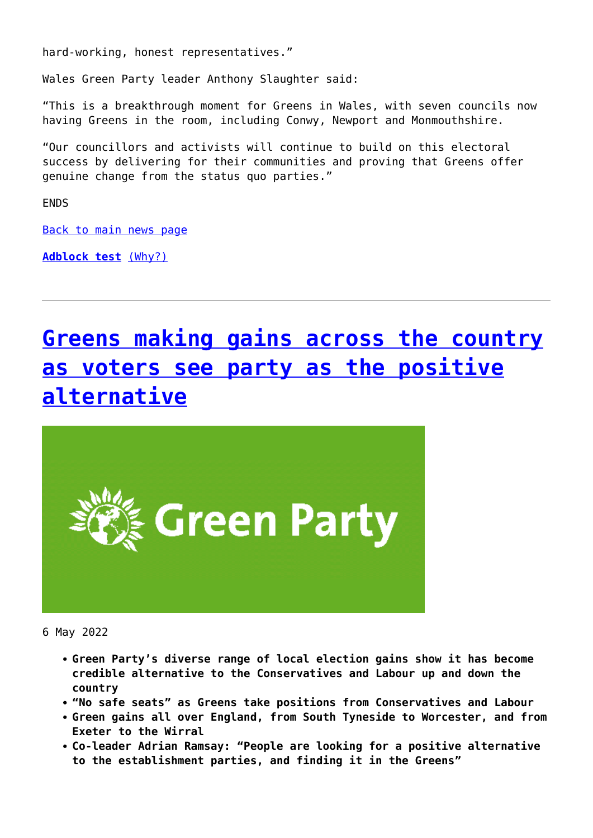hard-working, honest representatives."

Wales Green Party leader Anthony Slaughter said:

"This is a breakthrough moment for Greens in Wales, with seven councils now having Greens in the room, including Conwy, Newport and Monmouthshire.

"Our councillors and activists will continue to build on this electoral success by delivering for their communities and proving that Greens offer genuine change from the status quo parties."

ENDS

[Back to main news page](https://www.greenparty.org.uk/news/)

**[Adblock test](https://blockads.fivefilters.org/)** [\(Why?\)](https://blockads.fivefilters.org/acceptable.html)

# **[Greens making gains across the country](http://www.government-world.com/greens-making-gains-across-the-country-as-voters-see-party-as-the-positive-alternative/) [as voters see party as the positive](http://www.government-world.com/greens-making-gains-across-the-country-as-voters-see-party-as-the-positive-alternative/) [alternative](http://www.government-world.com/greens-making-gains-across-the-country-as-voters-see-party-as-the-positive-alternative/)**



6 May 2022

- **Green Party's diverse range of local election gains show it has become credible alternative to the Conservatives and Labour up and down the country**
- **"No safe seats" as Greens take positions from Conservatives and Labour**
- **Green gains all over England, from South Tyneside to Worcester, and from Exeter to the Wirral**
- **Co-leader Adrian Ramsay: "People are looking for a positive alternative to the establishment parties, and finding it in the Greens"**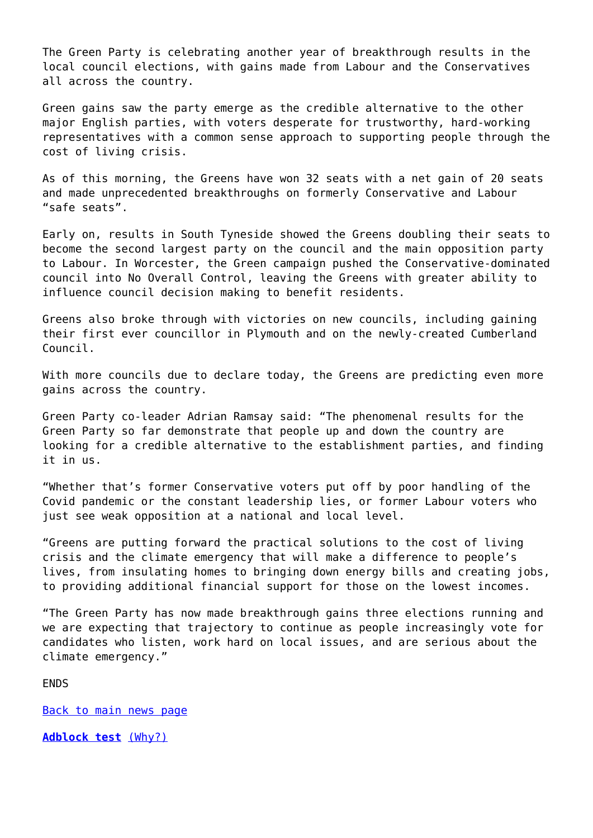The Green Party is celebrating another year of breakthrough results in the local council elections, with gains made from Labour and the Conservatives all across the country.

Green gains saw the party emerge as the credible alternative to the other major English parties, with voters desperate for trustworthy, hard-working representatives with a common sense approach to supporting people through the cost of living crisis.

As of this morning, the Greens have won 32 seats with a net gain of 20 seats and made unprecedented breakthroughs on formerly Conservative and Labour "safe seats".

Early on, results in South Tyneside showed the Greens doubling their seats to become the second largest party on the council and the main opposition party to Labour. In Worcester, the Green campaign pushed the Conservative-dominated council into No Overall Control, leaving the Greens with greater ability to influence council decision making to benefit residents.

Greens also broke through with victories on new councils, including gaining their first ever councillor in Plymouth and on the newly-created Cumberland Council.

With more councils due to declare today, the Greens are predicting even more gains across the country.

Green Party co-leader Adrian Ramsay said: "The phenomenal results for the Green Party so far demonstrate that people up and down the country are looking for a credible alternative to the establishment parties, and finding it in us.

"Whether that's former Conservative voters put off by poor handling of the Covid pandemic or the constant leadership lies, or former Labour voters who just see weak opposition at a national and local level.

"Greens are putting forward the practical solutions to the cost of living crisis and the climate emergency that will make a difference to people's lives, from insulating homes to bringing down energy bills and creating jobs, to providing additional financial support for those on the lowest incomes.

"The Green Party has now made breakthrough gains three elections running and we are expecting that trajectory to continue as people increasingly vote for candidates who listen, work hard on local issues, and are serious about the climate emergency."

ENDS

[Back to main news page](https://www.greenparty.org.uk/news/)

**[Adblock test](https://blockads.fivefilters.org/)** [\(Why?\)](https://blockads.fivefilters.org/acceptable.html)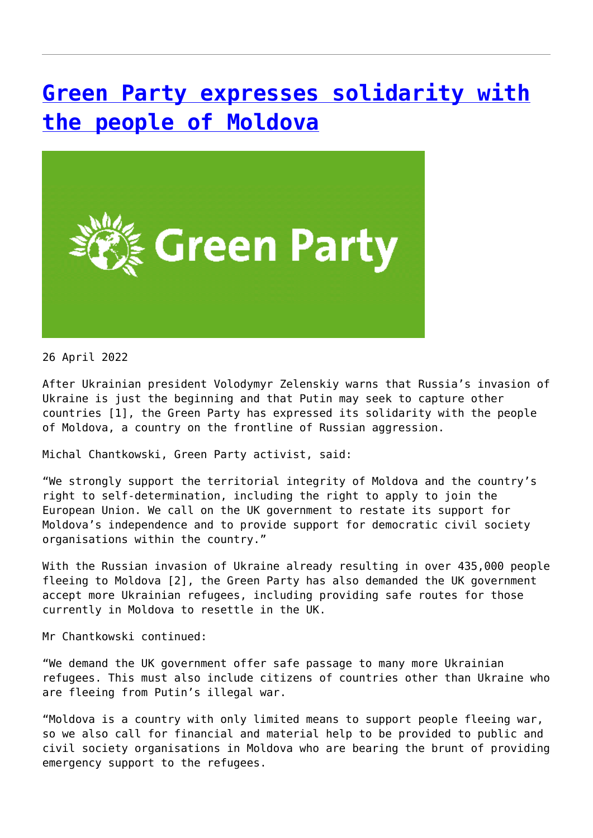## **[Green Party expresses solidarity with](http://www.government-world.com/green-party-expresses-solidarity-with-the-people-of-moldova/) [the people of Moldova](http://www.government-world.com/green-party-expresses-solidarity-with-the-people-of-moldova/)**



26 April 2022

After Ukrainian president Volodymyr Zelenskiy warns that Russia's invasion of Ukraine is just the beginning and that Putin may seek to capture other countries [1], the Green Party has expressed its solidarity with the people of Moldova, a country on the frontline of Russian aggression.

Michal Chantkowski, Green Party activist, said:

"We strongly support the territorial integrity of Moldova and the country's right to self-determination, including the right to apply to join the European Union. We call on the UK government to restate its support for Moldova's independence and to provide support for democratic civil society organisations within the country."

With the Russian invasion of Ukraine already resulting in over 435,000 people fleeing to Moldova [2], the Green Party has also demanded the UK government accept more Ukrainian refugees, including providing safe routes for those currently in Moldova to resettle in the UK.

Mr Chantkowski continued:

"We demand the UK government offer safe passage to many more Ukrainian refugees. This must also include citizens of countries other than Ukraine who are fleeing from Putin's illegal war.

"Moldova is a country with only limited means to support people fleeing war, so we also call for financial and material help to be provided to public and civil society organisations in Moldova who are bearing the brunt of providing emergency support to the refugees.